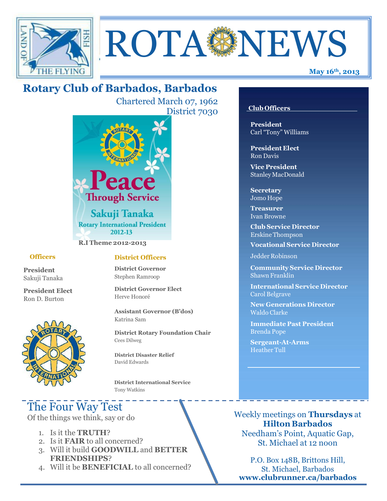

# ROTA NEWS

## **Rotary Club of Barbados, Barbados**

Chartered March 07, 1962 District 7030



**R.I Theme 2012-2013**

#### **Officers**

**President** Sakuji Tanaka

**President Elect** Ron D. Burton



#### **District Officers**

**District Governor** Stephen Ramroop

**District Governor Elect** Herve Honoré

**Assistant Governor (B'dos)** Katrina Sam

**District Rotary Foundation Chair** Cees Dilweg

**District Disaster Relief**  David Edwards

 **District International Service** Tony Watkins

## The Four Way Test

Of the things we think, say or do

- 1. Is it the **TRUTH**?
- 2. Is it **FAIR** to all concerned?
- 3. Will it build **GOODWILL** and **BETTER FRIENDSHIPS**?
- 4. Will it be **BENEFICIAL** to all concerned?

#### **Club Officers**

**President** Carl "Tony" Williams

**President Elect** Ron Davis

**Vice President** StanleyMacDonald

**Secretary** Jomo Hope

**Treasurer** Ivan Browne

**Club Service Director** Erskine Thompson

**Vocational Service Director**

Jedder Robinson

**Community Service Director** Shawn Franklin

**International Service Director** Carol Belgrave

**New Generations Director** Waldo Clarke

**Immediate Past President** Brenda Pope

**Sergeant-At-Arms** Heather Tull

Weekly meetings on **Thursdays** at **Hilton Barbados** Needham's Point, Aquatic Gap, St. Michael at 12 noon

P.O. Box 148B, Brittons Hill, St. Michael, Barbados **[www.clubrunner.ca/barbados](http://www.clubrunner.ca/barbados)**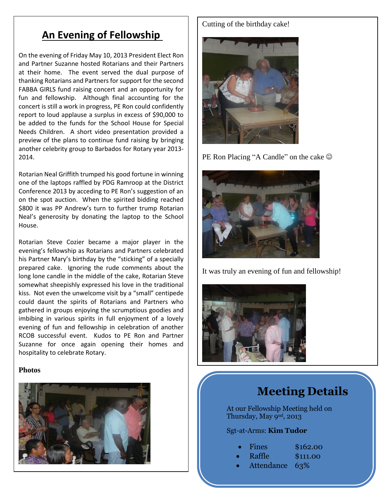### **An Evening of Fellowship**

On the evening of Friday May 10, 2013 President Elect Ron and Partner Suzanne hosted Rotarians and their Partners at their home. The event served the dual purpose of thanking Rotarians and Partners for support for the second FABBA GIRLS fund raising concert and an opportunity for fun and fellowship. Although final accounting for the concert is still a work in progress, PE Ron could confidently report to loud applause a surplus in excess of \$90,000 to be added to the funds for the School House for Special Needs Children. A short video presentation provided a preview of the plans to continue fund raising by bringing another celebrity group to Barbados for Rotary year 2013- 2014.

Rotarian Neal Griffith trumped his good fortune in winning one of the laptops raffled by PDG Ramroop at the District Conference 2013 by acceding to PE Ron's suggestion of an on the spot auction. When the spirited bidding reached \$800 it was PP Andrew's turn to further trump Rotarian Neal's generosity by donating the laptop to the School House.

Rotarian Steve Cozier became a major player in the evening's fellowship as Rotarians and Partners celebrated his Partner Mary's birthday by the "sticking" of a specially prepared cake. Ignoring the rude comments about the long lone candle in the middle of the cake, Rotarian Steve somewhat sheepishly expressed his love in the traditional kiss. Not even the unwelcome visit by a "small" centipede could daunt the spirits of Rotarians and Partners who gathered in groups enjoying the scrumptious goodies and imbibing in various spirits in full enjoyment of a lovely evening of fun and fellowship in celebration of another RCOB successful event. Kudos to PE Ron and Partner Suzanne for once again opening their homes and hospitality to celebrate Rotary.

#### **Photos**



#### Cutting of the birthday cake!



PE Ron Placing "A Candle" on the cake  $\odot$ 



It was truly an evening of fun and fellowship!



## **Meeting Details**

At our Fellowship Meeting held on Thursday, May 9<sup>nd</sup>, 2013

#### Sgt-at-Arms: **Kim Tudor**

|  | Fines | \$162.00 |
|--|-------|----------|
|--|-------|----------|

- Raffle \$111.00
- Attendance 63%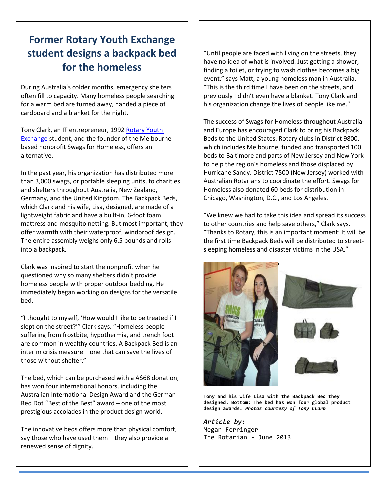## **GREETERS student designs a backpack bed Former Rotary Youth Exchange for the homeless**

During Australia's colder months, emergency shelters often fill to capacity. Many homeless people searching for a warm bed are turned away, handed a piece of cardboard and a blanket for the night.

Tony Clark, an IT entrepreneur, 199[2 Rotary Youth](http://www.rotary.org/en/StudentsAndYouth/YouthPrograms/RotaryYouthExchange/Pages/ridefault.aspx)  [Exchange](http://www.rotary.org/en/StudentsAndYouth/YouthPrograms/RotaryYouthExchange/Pages/ridefault.aspx) student, and the founder of the Melbournebased nonprofit Swags for Homeless, offers an alternative.

In the past year, his organization has distributed more than 3,000 swags, or portable sleeping units, to charities and shelters throughout Australia, New Zealand, Germany, and the United Kingdom. The Backpack Beds, which Clark and his wife, Lisa, designed, are made of a lightweight fabric and have a built-in, 6-foot foam mattress and mosquito netting. But most important, they offer warmth with their waterproof, windproof design. The entire assembly weighs only 6.5 pounds and rolls into a backpack.

Clark was inspired to start the nonprofit when he questioned why so many shelters didn't provide homeless people with proper outdoor bedding. He immediately began working on designs for the versatile bed.

"I thought to myself, 'How would I like to be treated if I slept on the street?'" Clark says. "Homeless people suffering from frostbite, hypothermia, and trench foot are common in wealthy countries. A Backpack Bed is an interim crisis measure – one that can save the lives of those without shelter."

The bed, which can be purchased with a A\$68 donation, has won four international honors, including the Australian International Design Award and the German Red Dot "Best of the Best" award – one of the most prestigious accolades in the product design world.

The innovative beds offers more than physical comfort, say those who have used them – they also provide a renewed sense of dignity.

"Until people are faced with living on the streets, they have no idea of what is involved. Just getting a shower, finding a toilet, or trying to wash clothes becomes a big event," says Matt, a young homeless man in Australia. "This is the third time I have been on the streets, and previously I didn't even have a blanket. Tony Clark and his organization change the lives of people like me."

The success of Swags for Homeless throughout Australia and Europe has encouraged Clark to bring his Backpack Beds to the United States. Rotary clubs in District 9800, which includes Melbourne, funded and transported 100 beds to Baltimore and parts of New Jersey and New York to help the region's homeless and those displaced by Hurricane Sandy. District 7500 (New Jersey) worked with Australian Rotarians to coordinate the effort. Swags for Homeless also donated 60 beds for distribution in Chicago, Washington, D.C., and Los Angeles.

"We knew we had to take this idea and spread its success to other countries and help save others," Clark says. "Thanks to Rotary, this is an important moment: It will be the first time Backpack Beds will be distributed to streetsleeping homeless and disaster victims in the USA."



**Tony and his wife Lisa with the Backpack Bed they designed. Bottom: The bed has won four global product design awards.** *Photos courtesy of Tony Clark*

*Article by:*  Megan Ferringer The Rotarian - June 2013